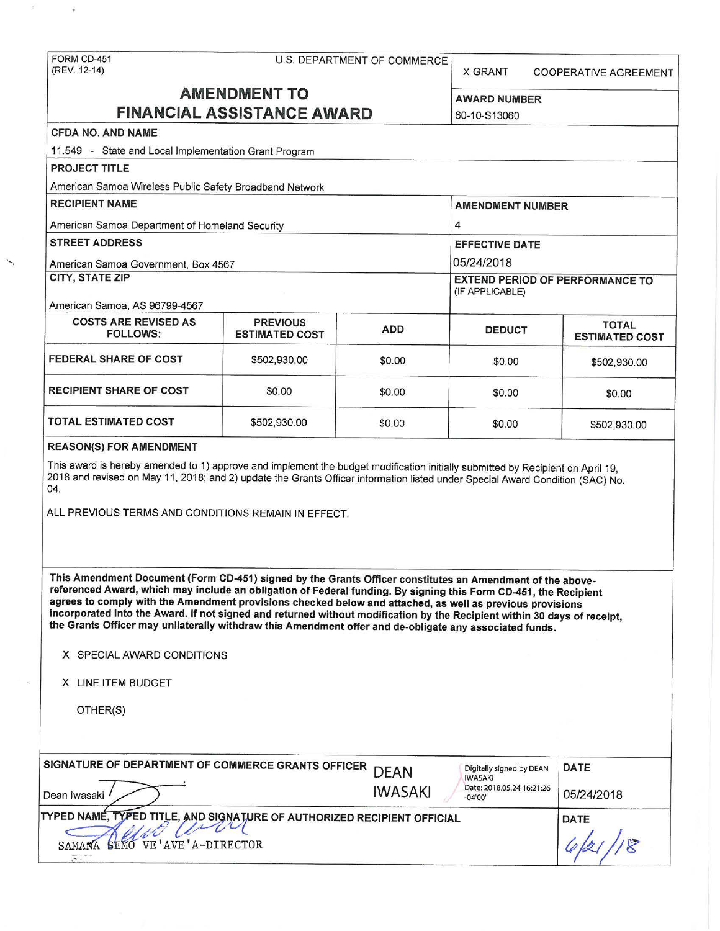$\langle \rangle$ 

 $\overline{G}^{\perp}$ 

X GRANT COOPERATIVE AGREEMENT

| <b>AMENDMENT TO</b>                                                                                                                                                                                                                                                                                                                                                                                                                                                                                                                                                                                                                   |                       |                               | <b>AWARD NUMBER</b>                                                           |                                       |  |                                                              |                 |  |                 |  |
|---------------------------------------------------------------------------------------------------------------------------------------------------------------------------------------------------------------------------------------------------------------------------------------------------------------------------------------------------------------------------------------------------------------------------------------------------------------------------------------------------------------------------------------------------------------------------------------------------------------------------------------|-----------------------|-------------------------------|-------------------------------------------------------------------------------|---------------------------------------|--|--------------------------------------------------------------|-----------------|--|-----------------|--|
| <b>FINANCIAL ASSISTANCE AWARD</b>                                                                                                                                                                                                                                                                                                                                                                                                                                                                                                                                                                                                     |                       |                               | 60-10-S13060                                                                  |                                       |  |                                                              |                 |  |                 |  |
| <b>CFDA NO. AND NAME</b>                                                                                                                                                                                                                                                                                                                                                                                                                                                                                                                                                                                                              |                       |                               |                                                                               |                                       |  |                                                              |                 |  |                 |  |
| 11.549 - State and Local Implementation Grant Program                                                                                                                                                                                                                                                                                                                                                                                                                                                                                                                                                                                 |                       |                               |                                                                               |                                       |  |                                                              |                 |  |                 |  |
| <b>PROJECT TITLE</b>                                                                                                                                                                                                                                                                                                                                                                                                                                                                                                                                                                                                                  |                       |                               |                                                                               |                                       |  |                                                              |                 |  |                 |  |
| American Samoa Wireless Public Safety Broadband Network                                                                                                                                                                                                                                                                                                                                                                                                                                                                                                                                                                               |                       |                               |                                                                               |                                       |  |                                                              |                 |  |                 |  |
| <b>RECIPIENT NAME</b>                                                                                                                                                                                                                                                                                                                                                                                                                                                                                                                                                                                                                 |                       |                               | <b>AMENDMENT NUMBER</b><br>4                                                  |                                       |  |                                                              |                 |  |                 |  |
| American Samoa Department of Homeland Security                                                                                                                                                                                                                                                                                                                                                                                                                                                                                                                                                                                        |                       |                               |                                                                               |                                       |  |                                                              |                 |  |                 |  |
| <b>STREET ADDRESS</b><br>American Samoa Government, Box 4567<br>CITY, STATE ZIP                                                                                                                                                                                                                                                                                                                                                                                                                                                                                                                                                       |                       |                               | <b>EFFECTIVE DATE</b><br>05/24/2018<br><b>EXTEND PERIOD OF PERFORMANCE TO</b> |                                       |  |                                                              |                 |  |                 |  |
|                                                                                                                                                                                                                                                                                                                                                                                                                                                                                                                                                                                                                                       |                       |                               |                                                                               |                                       |  |                                                              |                 |  | (IF APPLICABLE) |  |
|                                                                                                                                                                                                                                                                                                                                                                                                                                                                                                                                                                                                                                       |                       |                               |                                                                               |                                       |  | American Samoa, AS 96799-4567<br><b>COSTS ARE REVISED AS</b> | <b>PREVIOUS</b> |  |                 |  |
| <b>FOLLOWS:</b>                                                                                                                                                                                                                                                                                                                                                                                                                                                                                                                                                                                                                       | <b>ESTIMATED COST</b> | <b>ADD</b>                    | <b>DEDUCT</b>                                                                 | <b>TOTAL</b><br><b>ESTIMATED COST</b> |  |                                                              |                 |  |                 |  |
| <b>FEDERAL SHARE OF COST</b>                                                                                                                                                                                                                                                                                                                                                                                                                                                                                                                                                                                                          |                       |                               |                                                                               |                                       |  |                                                              |                 |  |                 |  |
|                                                                                                                                                                                                                                                                                                                                                                                                                                                                                                                                                                                                                                       | \$502,930.00          | \$0.00                        | \$0.00                                                                        | \$502,930.00                          |  |                                                              |                 |  |                 |  |
| <b>RECIPIENT SHARE OF COST</b>                                                                                                                                                                                                                                                                                                                                                                                                                                                                                                                                                                                                        | \$0.00                | \$0.00                        | \$0.00                                                                        | \$0.00                                |  |                                                              |                 |  |                 |  |
|                                                                                                                                                                                                                                                                                                                                                                                                                                                                                                                                                                                                                                       |                       |                               |                                                                               |                                       |  |                                                              |                 |  |                 |  |
| <b>TOTAL ESTIMATED COST</b>                                                                                                                                                                                                                                                                                                                                                                                                                                                                                                                                                                                                           | \$502,930.00          | \$0.00                        | \$0.00                                                                        | \$502,930.00                          |  |                                                              |                 |  |                 |  |
|                                                                                                                                                                                                                                                                                                                                                                                                                                                                                                                                                                                                                                       |                       |                               |                                                                               |                                       |  |                                                              |                 |  |                 |  |
| <b>REASON(S) FOR AMENDMENT</b><br>This award is hereby amended to 1) approve and implement the budget modification initially submitted by Recipient on April 19,<br>2018 and revised on May 11, 2018; and 2) update the Grants Officer information listed under Special Award Condition (SAC) No.<br>04.<br>ALL PREVIOUS TERMS AND CONDITIONS REMAIN IN EFFECT.                                                                                                                                                                                                                                                                       |                       |                               |                                                                               |                                       |  |                                                              |                 |  |                 |  |
| This Amendment Document (Form CD-451) signed by the Grants Officer constitutes an Amendment of the above-<br>referenced Award, which may include an obligation of Federal funding. By signing this Form CD-451, the Recipient<br>agrees to comply with the Amendment provisions checked below and attached, as well as previous provisions<br>incorporated into the Award. If not signed and returned without modification by the Recipient within 30 days of receipt,<br>the Grants Officer may unilaterally withdraw this Amendment offer and de-obligate any associated funds.<br>X SPECIAL AWARD CONDITIONS<br>X LINE ITEM BUDGET |                       |                               |                                                                               |                                       |  |                                                              |                 |  |                 |  |
| OTHER(S)                                                                                                                                                                                                                                                                                                                                                                                                                                                                                                                                                                                                                              |                       |                               |                                                                               |                                       |  |                                                              |                 |  |                 |  |
|                                                                                                                                                                                                                                                                                                                                                                                                                                                                                                                                                                                                                                       |                       |                               |                                                                               |                                       |  |                                                              |                 |  |                 |  |
|                                                                                                                                                                                                                                                                                                                                                                                                                                                                                                                                                                                                                                       |                       |                               | Digitally signed by DEAN                                                      | <b>DATE</b>                           |  |                                                              |                 |  |                 |  |
| SIGNATURE OF DEPARTMENT OF COMMERCE GRANTS OFFICER<br>Dean Iwasaki                                                                                                                                                                                                                                                                                                                                                                                                                                                                                                                                                                    |                       | <b>DEAN</b><br><b>IWASAKI</b> | <b>IWASAKI</b><br>Date: 2018.05.24 16:21:26<br>$-04'00'$                      | 05/24/2018                            |  |                                                              |                 |  |                 |  |
|                                                                                                                                                                                                                                                                                                                                                                                                                                                                                                                                                                                                                                       |                       |                               |                                                                               | <b>DATE</b>                           |  |                                                              |                 |  |                 |  |
| TYPED NAME, TYPED TITLE, AND SIGNATURE OF AUTHORIZED RECIPIENT OFFICIAL<br>VE'AVE'A-DIRECTOR<br>SAMANA SEMO                                                                                                                                                                                                                                                                                                                                                                                                                                                                                                                           |                       |                               |                                                                               |                                       |  |                                                              |                 |  |                 |  |